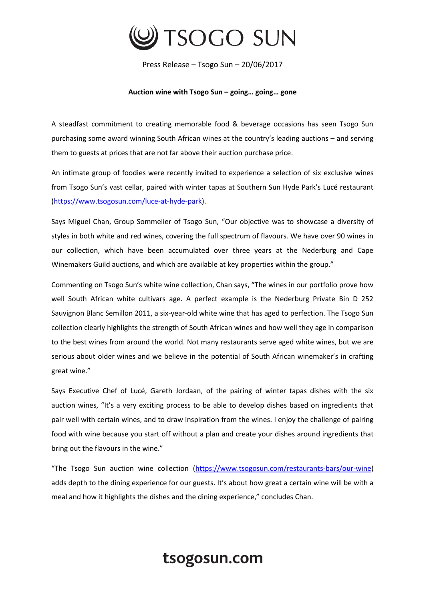

Press Release – Tsogo Sun – 20/06/2017

## **Auction wine with Tsogo Sun – going… going… gone**

A steadfast commitment to creating memorable food & beverage occasions has seen Tsogo Sun purchasing some award winning South African wines at the country's leading auctions – and serving them to guests at prices that are not far above their auction purchase price.

An intimate group of foodies were recently invited to experience a selection of six exclusive wines from Tsogo Sun's vast cellar, paired with winter tapas at Southern Sun Hyde Park's Lucé restaurant [\(https://www.tsogosun.com/luce-at-hyde-park\)](https://www.tsogosun.com/luce-at-hyde-park).

Says Miguel Chan, Group Sommelier of Tsogo Sun, "Our objective was to showcase a diversity of styles in both white and red wines, covering the full spectrum of flavours. We have over 90 wines in our collection, which have been accumulated over three years at the Nederburg and Cape Winemakers Guild auctions, and which are available at key properties within the group."

Commenting on Tsogo Sun's white wine collection, Chan says, "The wines in our portfolio prove how well South African white cultivars age. A perfect example is the Nederburg Private Bin D 252 Sauvignon Blanc Semillon 2011, a six-year-old white wine that has aged to perfection. The Tsogo Sun collection clearly highlights the strength of South African wines and how well they age in comparison to the best wines from around the world. Not many restaurants serve aged white wines, but we are serious about older wines and we believe in the potential of South African winemaker's in crafting great wine."

Says Executive Chef of Lucé, Gareth Jordaan, of the pairing of winter tapas dishes with the six auction wines, "It's a very exciting process to be able to develop dishes based on ingredients that pair well with certain wines, and to draw inspiration from the wines. I enjoy the challenge of pairing food with wine because you start off without a plan and create your dishes around ingredients that bring out the flavours in the wine."

"The Tsogo Sun auction wine collection ([https://www.tsogosun.com/restaurants-bars/our-wine\)](https://www.tsogosun.com/restaurants-bars/our-wine) adds depth to the dining experience for our guests. It's about how great a certain wine will be with a meal and how it highlights the dishes and the dining experience," concludes Chan.

## tsogosun.com